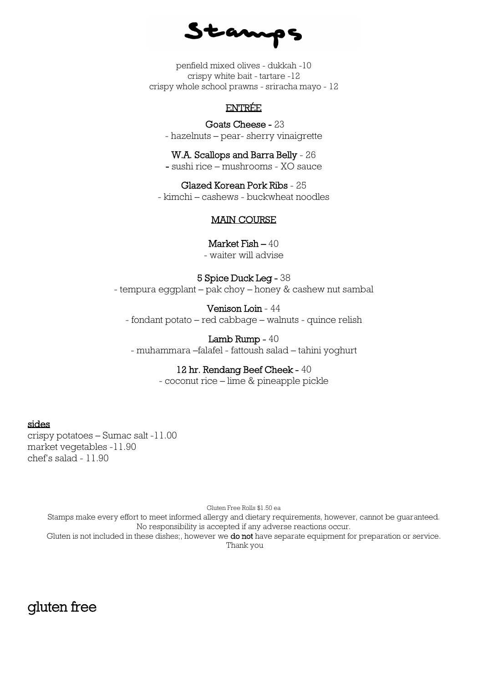Stamps

penfield mixed olives - dukkah -10 crispy white bait - tartare -12 crispy whole school prawns - sriracha mayo - 12

### ENTRÉE

 Goats Cheese - 23 - hazelnuts – pear- sherry vinaigrette

W.A. Scallops and Barra Belly - 26 - sushi rice – mushrooms - XO sauce

Glazed Korean Pork Ribs - 25 - kimchi – cashews - buckwheat noodles

#### MAIN COURSE

Market Fish – 40

- waiter will advise

#### 5 Spice Duck Leg - 38

- tempura eggplant – pak choy – honey & cashew nut sambal

Venison Loin - 44

- fondant potato – red cabbage – walnuts - quince relish

#### Lamb Rump - 40

- muhammara –falafel - fattoush salad – tahini yoghurt

#### 12 hr. Rendang Beef Cheek - 40

- coconut rice – lime & pineapple pickle

### sides

crispy potatoes – Sumac salt -11.00 market vegetables -11.90 chef's salad - 11.90

Gluten Free Rolls \$1.50 ea

Stamps make every effort to meet informed allergy and dietary requirements, however, cannot be guaranteed. No responsibility is accepted if any adverse reactions occur.

Gluten is not included in these dishes;, however we do not have separate equipment for preparation or service. Thank you

# gluten free